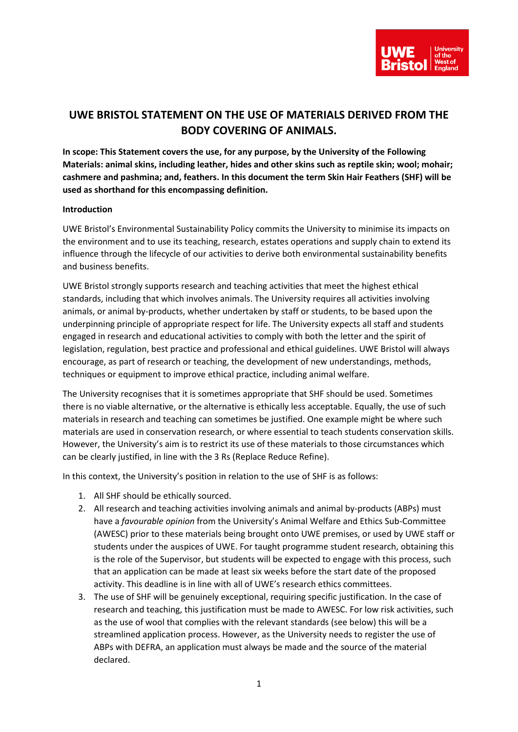

## **UWE BRISTOL STATEMENT ON THE USE OF MATERIALS DERIVED FROM THE BODY COVERING OF ANIMALS.**

**In scope: This Statement covers the use, for any purpose, by the University of the Following Materials: animal skins, including leather, hides and other skins such as reptile skin; wool; mohair; cashmere and pashmina; and, feathers. In this document the term Skin Hair Feathers (SHF) will be used as shorthand for this encompassing definition.**

## **Introduction**

UWE Bristol's Environmental Sustainability Policy commits the University to minimise its impacts on the environment and to use its teaching, research, estates operations and supply chain to extend its influence through the lifecycle of our activities to derive both environmental sustainability benefits and business benefits.

UWE Bristol strongly supports research and teaching activities that meet the highest ethical standards, including that which involves animals. The University requires all activities involving animals, or animal by-products, whether undertaken by staff or students, to be based upon the underpinning principle of appropriate respect for life. The University expects all staff and students engaged in research and educational activities to comply with both the letter and the spirit of legislation, regulation, best practice and professional and ethical guidelines. UWE Bristol will always encourage, as part of research or teaching, the development of new understandings, methods, techniques or equipment to improve ethical practice, including animal welfare.

The University recognises that it is sometimes appropriate that SHF should be used. Sometimes there is no viable alternative, or the alternative is ethically less acceptable. Equally, the use of such materials in research and teaching can sometimes be justified. One example might be where such materials are used in conservation research, or where essential to teach students conservation skills. However, the University's aim is to restrict its use of these materials to those circumstances which can be clearly justified, in line with the 3 Rs (Replace Reduce Refine).

In this context, the University's position in relation to the use of SHF is as follows:

- 1. All SHF should be ethically sourced.
- 2. All research and teaching activities involving animals and animal by-products (ABPs) must have a *favourable opinion* from the University's Animal Welfare and Ethics Sub-Committee (AWESC) prior to these materials being brought onto UWE premises, or used by UWE staff or students under the auspices of UWE. For taught programme student research, obtaining this is the role of the Supervisor, but students will be expected to engage with this process, such that an application can be made at least six weeks before the start date of the proposed activity. This deadline is in line with all of UWE's research ethics committees.
- 3. The use of SHF will be genuinely exceptional, requiring specific justification. In the case of research and teaching, this justification must be made to AWESC. For low risk activities, such as the use of wool that complies with the relevant standards (see below) this will be a streamlined application process. However, as the University needs to register the use of ABPs with DEFRA, an application must always be made and the source of the material declared.